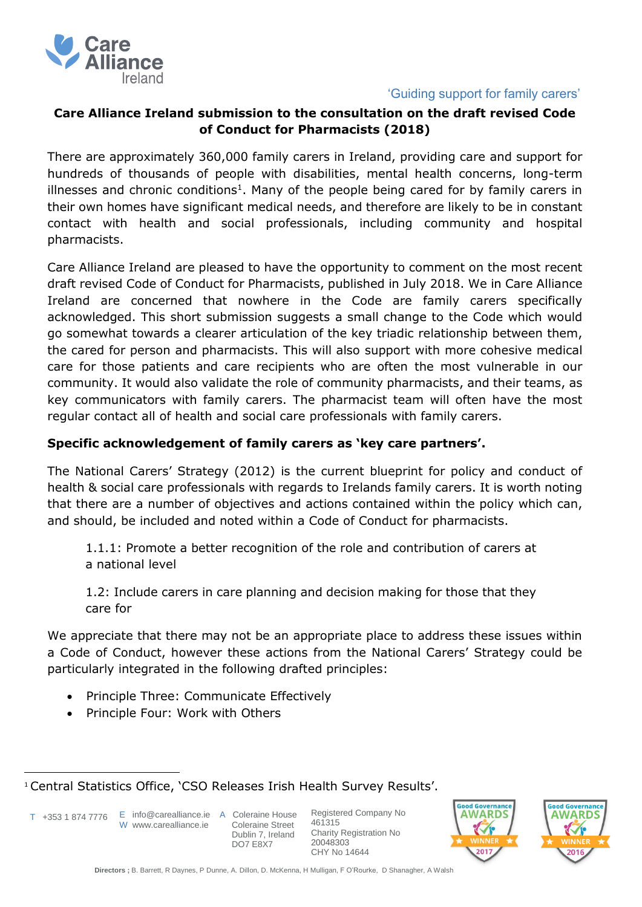

## 'Guiding support for family carers'

# **Care Alliance Ireland submission to the consultation on the draft revised Code of Conduct for Pharmacists (2018)**

There are approximately 360,000 family carers in Ireland, providing care and support for hundreds of thousands of people with disabilities, mental health concerns, long-term illnesses and chronic conditions<sup>1</sup>. Many of the people being cared for by family carers in their own homes have significant medical needs, and therefore are likely to be in constant contact with health and social professionals, including community and hospital pharmacists.

Care Alliance Ireland are pleased to have the opportunity to comment on the most recent draft revised Code of Conduct for Pharmacists, published in July 2018. We in Care Alliance Ireland are concerned that nowhere in the Code are family carers specifically acknowledged. This short submission suggests a small change to the Code which would go somewhat towards a clearer articulation of the key triadic relationship between them, the cared for person and pharmacists. This will also support with more cohesive medical care for those patients and care recipients who are often the most vulnerable in our community. It would also validate the role of community pharmacists, and their teams, as key communicators with family carers. The pharmacist team will often have the most regular contact all of health and social care professionals with family carers.

## **Specific acknowledgement of family carers as 'key care partners'.**

The National Carers' Strategy (2012) is the current blueprint for policy and conduct of health & social care professionals with regards to Irelands family carers. It is worth noting that there are a number of objectives and actions contained within the policy which can, and should, be included and noted within a Code of Conduct for pharmacists.

1.1.1: Promote a better recognition of the role and contribution of carers at a national level

1.2: Include carers in care planning and decision making for those that they care for

We appreciate that there may not be an appropriate place to address these issues within a Code of Conduct, however these actions from the National Carers' Strategy could be particularly integrated in the following drafted principles:

- Principle Three: Communicate Effectively
- Principle Four: Work with Others

T +353 1 874 7776

 $\overline{a}$ 

E info@carealliance.ie A Coleraine House W www.carealliance.ie

 Coleraine Street Dublin 7, Ireland DO7 E8X7

Registered Company No 461315 Charity Registration No 20048303 CHY No 14644





<sup>1</sup> Central Statistics Office, 'CSO Releases Irish Health Survey Results'.